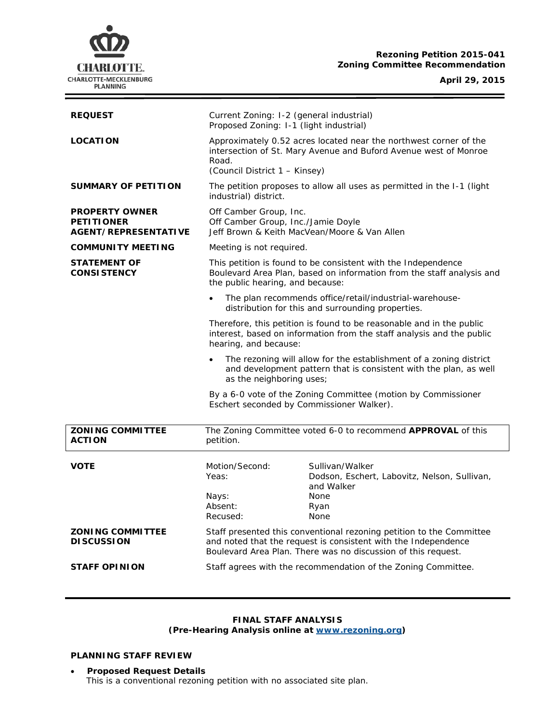

# **Rezoning Petition 2015-041 Zoning Committee Recommendation**

## **April 29, 2015**

| <b>REQUEST</b>                                                     | Current Zoning: I-2 (general industrial)<br>Proposed Zoning: I-1 (light industrial)                                                                                                                                                                                                                                                                                                                                                                                      |                                                                                                       |
|--------------------------------------------------------------------|--------------------------------------------------------------------------------------------------------------------------------------------------------------------------------------------------------------------------------------------------------------------------------------------------------------------------------------------------------------------------------------------------------------------------------------------------------------------------|-------------------------------------------------------------------------------------------------------|
| <b>LOCATION</b>                                                    | Approximately 0.52 acres located near the northwest corner of the<br>intersection of St. Mary Avenue and Buford Avenue west of Monroe<br>Road.<br>(Council District 1 - Kinsey)                                                                                                                                                                                                                                                                                          |                                                                                                       |
| <b>SUMMARY OF PETITION</b>                                         | The petition proposes to allow all uses as permitted in the I-1 (light<br>industrial) district.                                                                                                                                                                                                                                                                                                                                                                          |                                                                                                       |
| <b>PROPERTY OWNER</b><br><b>PETITIONER</b><br>AGENT/REPRESENTATIVE | Off Camber Group, Inc.<br>Off Camber Group, Inc./Jamie Doyle<br>Jeff Brown & Keith MacVean/Moore & Van Allen                                                                                                                                                                                                                                                                                                                                                             |                                                                                                       |
| <b>COMMUNITY MEETING</b>                                           | Meeting is not required.                                                                                                                                                                                                                                                                                                                                                                                                                                                 |                                                                                                       |
| <b>STATEMENT OF</b><br><b>CONSISTENCY</b>                          | This petition is found to be consistent with the Independence<br>Boulevard Area Plan, based on information from the staff analysis and<br>the public hearing, and because:                                                                                                                                                                                                                                                                                               |                                                                                                       |
|                                                                    | The plan recommends office/retail/industrial-warehouse-<br>$\bullet$<br>distribution for this and surrounding properties.                                                                                                                                                                                                                                                                                                                                                |                                                                                                       |
|                                                                    | Therefore, this petition is found to be reasonable and in the public<br>interest, based on information from the staff analysis and the public<br>hearing, and because:<br>The rezoning will allow for the establishment of a zoning district<br>$\bullet$<br>and development pattern that is consistent with the plan, as well<br>as the neighboring uses;<br>By a 6-0 vote of the Zoning Committee (motion by Commissioner<br>Eschert seconded by Commissioner Walker). |                                                                                                       |
|                                                                    |                                                                                                                                                                                                                                                                                                                                                                                                                                                                          |                                                                                                       |
|                                                                    |                                                                                                                                                                                                                                                                                                                                                                                                                                                                          |                                                                                                       |
| <b>ZONING COMMITTEE</b><br><b>ACTION</b>                           | The Zoning Committee voted 6-0 to recommend APPROVAL of this<br>petition.                                                                                                                                                                                                                                                                                                                                                                                                |                                                                                                       |
| <b>VOTE</b>                                                        | Motion/Second:<br>Yeas:<br>Nays:<br>Absent:<br>Recused:                                                                                                                                                                                                                                                                                                                                                                                                                  | Sullivan/Walker<br>Dodson, Eschert, Labovitz, Nelson, Sullivan,<br>and Walker<br>None<br>Ryan<br>None |
| <b>ZONING COMMITTEE</b><br><b>DISCUSSION</b>                       | Staff presented this conventional rezoning petition to the Committee<br>and noted that the request is consistent with the Independence<br>Boulevard Area Plan. There was no discussion of this request.                                                                                                                                                                                                                                                                  |                                                                                                       |
| <b>STAFF OPINION</b>                                               | Staff agrees with the recommendation of the Zoning Committee.                                                                                                                                                                                                                                                                                                                                                                                                            |                                                                                                       |

### **FINAL STAFF ANALYSIS (Pre-Hearing Analysis online at [www.rezoning.org\)](http://www.rezoning.org/)**

## **PLANNING STAFF REVIEW**

• **Proposed Request Details** This is a conventional rezoning petition with no associated site plan.